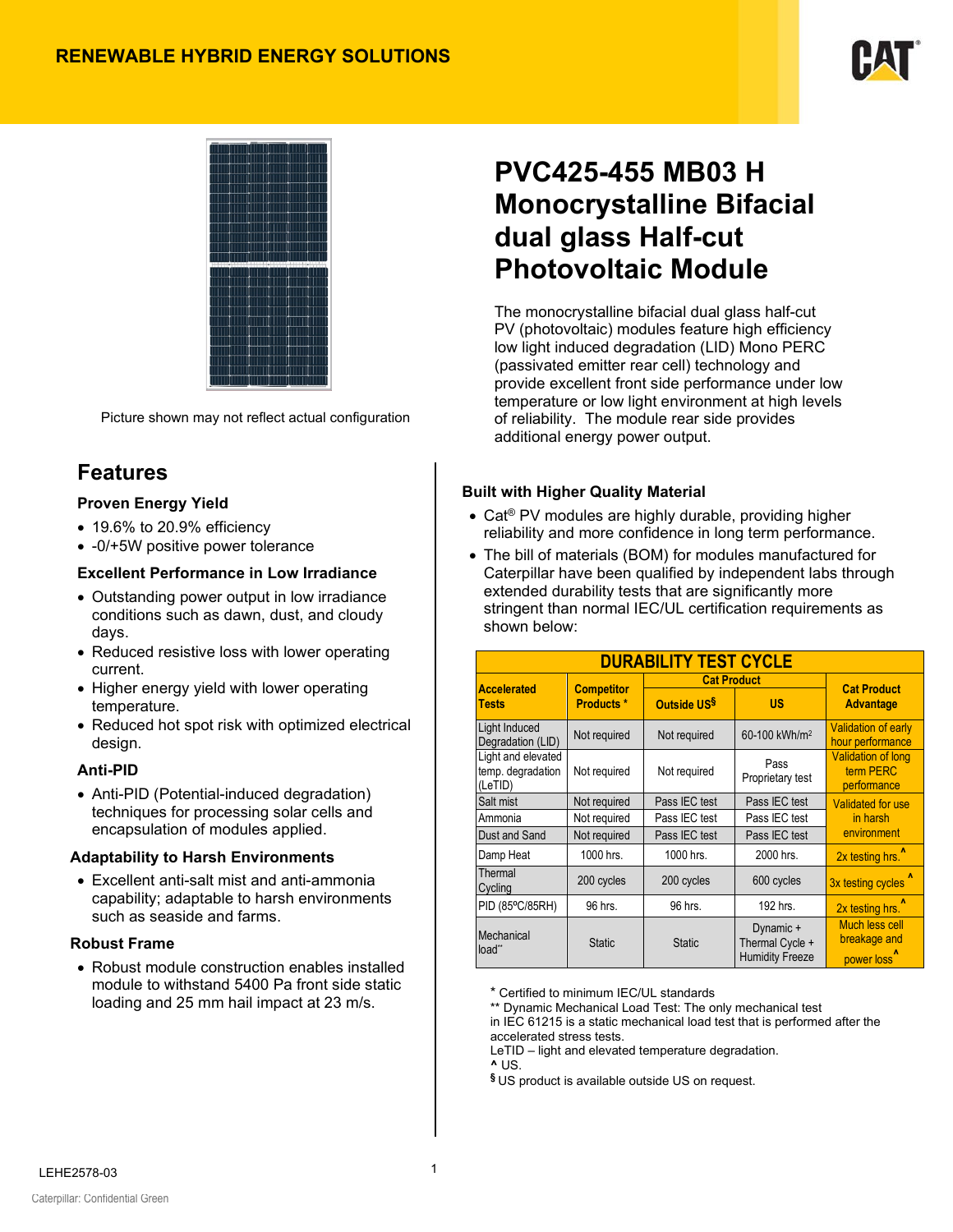



Picture shown may not reflect actual configuration

## **Features**

#### **Proven Energy Yield**

- 19.6% to 20.9% efficiency
- -0/+5W positive power tolerance

#### **Excellent Performance in Low Irradiance**

- Outstanding power output in low irradiance conditions such as dawn, dust, and cloudy days.
- Reduced resistive loss with lower operating current.
- Higher energy yield with lower operating temperature.
- Reduced hot spot risk with optimized electrical design.

#### **Anti-PID**

• Anti-PID (Potential-induced degradation) techniques for processing solar cells and encapsulation of modules applied.

#### **Adaptability to Harsh Environments**

• Excellent anti-salt mist and anti-ammonia capability; adaptable to harsh environments such as seaside and farms.

#### **Robust Frame**

• Robust module construction enables installed module to withstand 5400 Pa front side static loading and 25 mm hail impact at 23 m/s.

# **PVC425-455 MB03 H Monocrystalline Bifacial dual glass Half-cut Photovoltaic Module**

The monocrystalline bifacial dual glass half-cut PV (photovoltaic) modules feature high efficiency low light induced degradation (LID) Mono PERC (passivated emitter rear cell) technology and provide excellent front side performance under low temperature or low light environment at high levels of reliability. The module rear side provides additional energy power output.

#### **Built with Higher Quality Material**

- Cat<sup>®</sup> PV modules are highly durable, providing higher reliability and more confidence in long term performance.
- The bill of materials (BOM) for modules manufactured for Caterpillar have been qualified by independent labs through extended durability tests that are significantly more stringent than normal IEC/UL certification requirements as shown below:

| <b>DURABILITY TEST CYCLE</b>                       |                               |                                          |                                                        |                                                                  |  |  |
|----------------------------------------------------|-------------------------------|------------------------------------------|--------------------------------------------------------|------------------------------------------------------------------|--|--|
| <b>Accelerated</b>                                 | <b>Competitor</b>             | <b>Cat Product</b>                       | <b>Cat Product</b>                                     |                                                                  |  |  |
| Tests                                              | Products <sup>*</sup>         | Outside US <sup>§</sup>                  | US                                                     | <b>Advantage</b>                                                 |  |  |
| Light Induced<br>Degradation (LID)                 | Not required                  | Not required                             | 60-100 kWh/m <sup>2</sup>                              | <b>Validation of early</b><br>hour performance                   |  |  |
| Light and elevated<br>temp. degradation<br>(LeTID) | Not required                  | Pass<br>Not required<br>Proprietary test |                                                        | <b>Validation of long</b><br>term PERC<br>performance            |  |  |
| Salt mist                                          | Pass IEC test<br>Not required |                                          | Pass IEC test                                          | Validated for use                                                |  |  |
| Ammonia                                            | Not required                  | Pass IEC test                            | Pass IEC test                                          | in harsh                                                         |  |  |
| Dust and Sand                                      | Not required                  | Pass IEC test                            | Pass IEC test                                          | environment                                                      |  |  |
| Damp Heat                                          | 1000 hrs.                     | 1000 hrs.                                | 2000 hrs.                                              | 2x testing hrs. <sup>^</sup>                                     |  |  |
| Thermal<br>Cycling                                 | 200 cycles                    | 200 cycles                               | 600 cycles                                             | 3x testing cycles                                                |  |  |
| PID (85°C/85RH)                                    | 96 hrs.                       | 96 hrs.                                  | 192 hrs.                                               | 2x testing hrs. <sup>1</sup>                                     |  |  |
| Mechanical<br>load"                                | <b>Static</b>                 | <b>Static</b>                            | Dynamic +<br>Thermal Cycle +<br><b>Humidity Freeze</b> | <b>Much less cell</b><br>breakage and<br>power loss <sup>1</sup> |  |  |

\* Certified to minimum IEC/UL standards

\*\* Dynamic Mechanical Load Test: The only mechanical test in IEC 61215 is a static mechanical load test that is performed after the accelerated stress tests.

LeTID – light and elevated temperature degradation.

**^** US.

**§** US product is available outside US on request.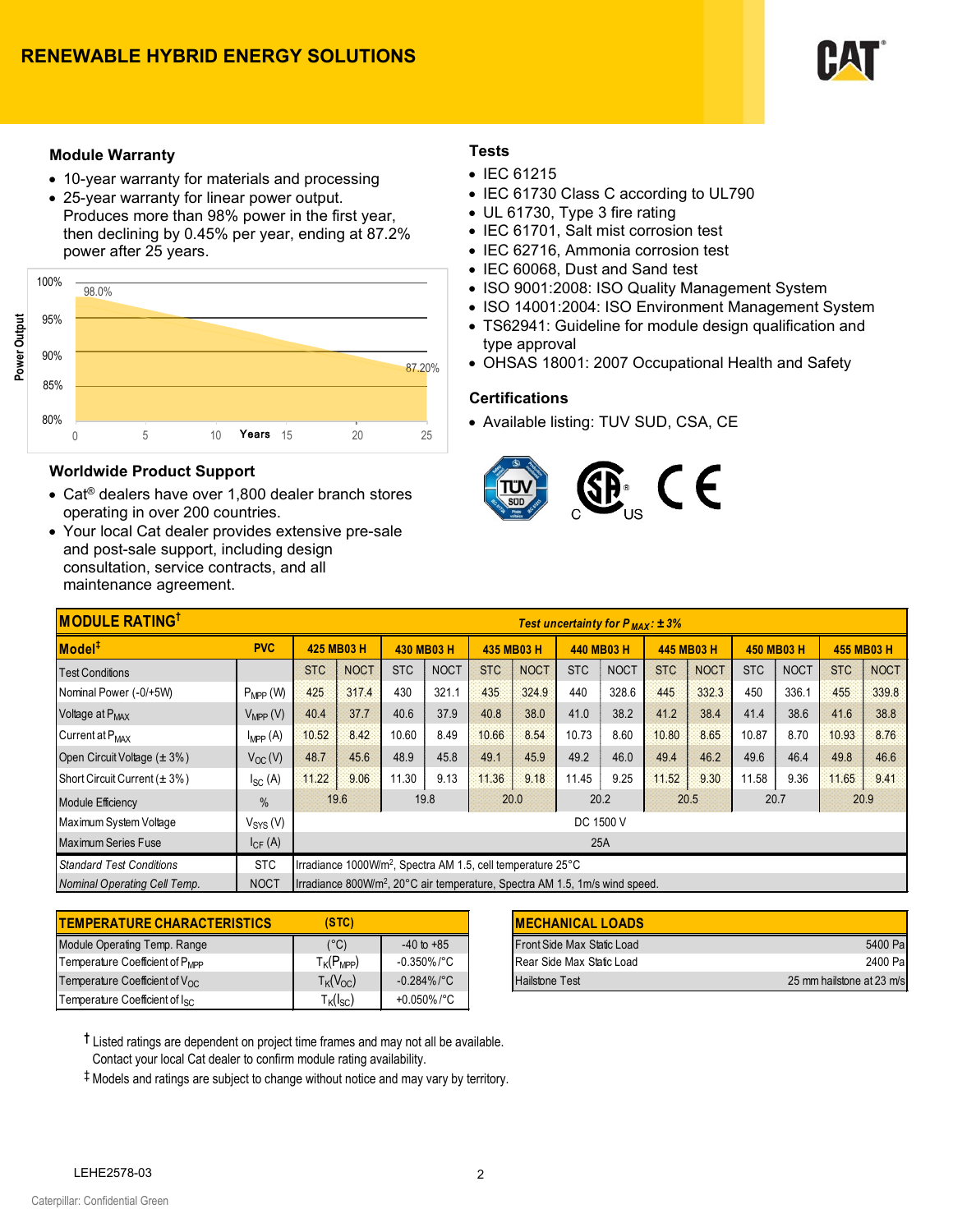

#### **Module Warranty**

- 10-year warranty for materials and processing
- 25-year warranty for linear power output. Produces more than 98% power in the first year, then declining by 0.45% per year, ending at 87.2% power after 25 years.



#### **Worldwide Product Support**

- Cat® dealers have over 1,800 dealer branch stores operating in over 200 countries.
- Your local Cat dealer provides extensive pre-sale and post-sale support, including design consultation, service contracts, and all maintenance agreement.

#### **Tests**

- IEC 61215
- IEC 61730 Class C according to UL790
- UL 61730, Type 3 fire rating
- IEC 61701, Salt mist corrosion test
- IEC 62716, Ammonia corrosion test
- IEC 60068, Dust and Sand test
- ISO 9001:2008: ISO Quality Management System
- ISO 14001:2004: ISO Environment Management System
- TS62941: Guideline for module design qualification and type approval
- OHSAS 18001: 2007 Occupational Health and Safety

#### **Certifications**

• Available listing: TUV SUD, CSA, CE



| <b>MODULE RATING</b><br>Test uncertainty for $P_{MAX}: \pm 3\%$ |                      |                                                                                         |                                                      |            |             |            |             |            |             |            |             |            |             |            |             |
|-----------------------------------------------------------------|----------------------|-----------------------------------------------------------------------------------------|------------------------------------------------------|------------|-------------|------------|-------------|------------|-------------|------------|-------------|------------|-------------|------------|-------------|
| Model <sup>#</sup>                                              | <b>PVC</b>           | 425 MB03 H                                                                              |                                                      | 430 MB03 H |             | 435 MB03 H |             | 440 MB03 H |             | 445 MB03 H |             | 450 MB03 H |             | 455 MB03 H |             |
| <b>Test Conditions</b>                                          |                      | <b>STC</b>                                                                              | <b>NOCT</b>                                          | <b>STC</b> | <b>NOCT</b> | <b>STC</b> | <b>NOCT</b> | <b>STC</b> | <b>NOCT</b> | <b>STC</b> | <b>NOCT</b> | <b>STC</b> | <b>NOCT</b> | <b>STC</b> | <b>NOCT</b> |
| Nominal Power (-0/+5W)                                          | $P_{MPP}$ (W)        | 425                                                                                     | 317.4                                                | 430        | 321.1       | 435        | 324.9       | 440        | 328.6       | 445        | 332.3       | 450        | 336.1       | 455        | 339.8       |
| Voltage at P <sub>MAX</sub>                                     | $V_{\text{MPP}}(V)$  | 40.4                                                                                    | 37.7                                                 | 40.6       | 37.9        | 40.8       | 38.0        | 41.0       | 38.2        | 41.2       | 38.4        | 41.4       | 38.6        | 41.6       | 38.8        |
| Current at P <sub>MAX</sub>                                     | $I_{\text{MPP}}(A)$  | 10.52                                                                                   | 8.42                                                 | 10.60      | 8.49        | 10.66      | 8.54        | 10.73      | 8.60        | 10.80      | 8.65        | 10.87      | 8.70        | 10.93      | 8.76        |
| Open Circuit Voltage (± 3%)                                     | $V_{OC}(V)$          | 48.7                                                                                    | 45.6                                                 | 48.9       | 45.8        | 49.1       | 45.9        | 49.2       | 46.0        | 49.4       | 46.2        | 49.6       | 46.4        | 49.8       | 46.6        |
| Short Circuit Current ( $\pm$ 3%)                               | $I_{SC}$ (A)         | 11.22                                                                                   | 9.06                                                 | 11.30      | 9.13        | 11.36      | 9.18        | 11.45      | 9.25        | 11.52      | 9.30        | 11.58      | 9.36        | 11.65      | 9.41        |
| <b>Module Efficiency</b>                                        | $\%$                 |                                                                                         | 20.2<br>19.6<br>19.8<br>20.9<br>20.0<br>20.5<br>20.7 |            |             |            |             |            |             |            |             |            |             |            |             |
| Maximum System Voltage                                          | V <sub>SYS</sub> (V) | DC 1500 V                                                                               |                                                      |            |             |            |             |            |             |            |             |            |             |            |             |
| Maximum Series Fuse                                             | $I_{CF}$ (A)         | 25A                                                                                     |                                                      |            |             |            |             |            |             |            |             |            |             |            |             |
| <b>Standard Test Conditions</b>                                 | <b>STC</b>           | Irradiance 1000W/m <sup>2</sup> , Spectra AM 1.5, cell temperature 25°C                 |                                                      |            |             |            |             |            |             |            |             |            |             |            |             |
| Nominal Operating Cell Temp.                                    | <b>NOCT</b>          | Irradiance 800W/m <sup>2</sup> , 20°C air temperature, Spectra AM 1.5, 1m/s wind speed. |                                                      |            |             |            |             |            |             |            |             |            |             |            |             |

| <b>TEMPERATURE CHARACTERISTICS</b>        | (STC)                                      |                | <b>IMECHANICAL LOADS</b>   |
|-------------------------------------------|--------------------------------------------|----------------|----------------------------|
| Module Operating Temp. Range              | $(^{\circ}C)$                              | $-40$ to $+85$ | Front Side Max Static Load |
| Temperature Coefficient of PMPP           | $T_{\mathsf{K}}(P_{\mathsf{MPP}})$         | $-0.350\%$ /°C | Rear Side Max Static Load  |
| Temperature Coefficient of $V_{\Omega C}$ | $T_K(V_{OC})$                              | $-0.284\%$ /°C | <b>Hailstone Test</b>      |
| Temperature Coefficient of lsc            | $T_{\mathsf{K}}(\mathsf{I}_{\mathsf{SC}})$ | +0.050%/°C     |                            |

| (STC)                              |                | <b>IMECHANICAL LOADS</b>           |                           |
|------------------------------------|----------------|------------------------------------|---------------------------|
| (°C)                               | $-40$ to $+85$ | Front Side Max Static Load         | 5400 Pal                  |
| T <sub>K</sub> (P <sub>MPP</sub> ) | $-0.350\%$ /°C | <b>I</b> Rear Side Max Static Load | 2400 Pal                  |
| $T_K(V_{OC})$                      | $-0.284\%$ /°C | <b>Hailstone Test</b>              | 25 mm hailstone at 23 m/s |

**†** Listed ratings are dependent on project time frames and may not all be available.

Contact your local Cat dealer to confirm module rating availability. ‡ Models and ratings are subject to change without notice and may vary by territory.

LEHE2578-03